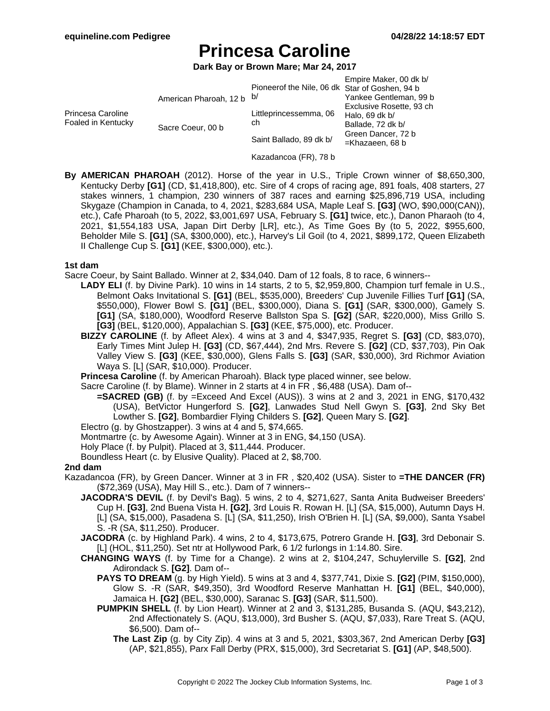# **Princesa Caroline**

**Dark Bay or Brown Mare; Mar 24, 2017**

|                                         |                           |                                                | Empire Maker, 00 dk b/   |
|-----------------------------------------|---------------------------|------------------------------------------------|--------------------------|
|                                         |                           | Pioneerof the Nile, 06 dk Star of Goshen, 94 b |                          |
| Princesa Caroline<br>Foaled in Kentucky | American Pharoah, 12 b b/ |                                                | Yankee Gentleman, 99 b   |
|                                         |                           | Littleprincessemma, 06<br>ch                   | Exclusive Rosette, 93 ch |
|                                         | Sacre Coeur, 00 b         |                                                | Halo, 69 dk b/           |
|                                         |                           |                                                | Ballade, 72 dk b/        |
|                                         |                           | Saint Ballado, 89 dk b/                        | Green Dancer, 72 b       |
|                                         |                           |                                                | =Khazaeen, 68 b          |

- Kazadancoa (FR), 78 b
- **By AMERICAN PHAROAH** (2012). Horse of the year in U.S., Triple Crown winner of \$8,650,300, Kentucky Derby **[G1]** (CD, \$1,418,800), etc. Sire of 4 crops of racing age, 891 foals, 408 starters, 27 stakes winners, 1 champion, 230 winners of 387 races and earning \$25,896,719 USA, including Skygaze (Champion in Canada, to 4, 2021, \$283,684 USA, Maple Leaf S. **[G3]** (WO, \$90,000(CAN)), etc.), Cafe Pharoah (to 5, 2022, \$3,001,697 USA, February S. **[G1]** twice, etc.), Danon Pharaoh (to 4, 2021, \$1,554,183 USA, Japan Dirt Derby [LR], etc.), As Time Goes By (to 5, 2022, \$955,600, Beholder Mile S. **[G1]** (SA, \$300,000), etc.), Harvey's Lil Goil (to 4, 2021, \$899,172, Queen Elizabeth II Challenge Cup S. **[G1]** (KEE, \$300,000), etc.).

### **1st dam**

Sacre Coeur, by Saint Ballado. Winner at 2, \$34,040. Dam of 12 foals, 8 to race, 6 winners--

- **LADY ELI** (f. by Divine Park). 10 wins in 14 starts, 2 to 5, \$2,959,800, Champion turf female in U.S., Belmont Oaks Invitational S. **[G1]** (BEL, \$535,000), Breeders' Cup Juvenile Fillies Turf **[G1]** (SA, \$550,000), Flower Bowl S. **[G1]** (BEL, \$300,000), Diana S. **[G1]** (SAR, \$300,000), Gamely S. **[G1]** (SA, \$180,000), Woodford Reserve Ballston Spa S. **[G2]** (SAR, \$220,000), Miss Grillo S. **[G3]** (BEL, \$120,000), Appalachian S. **[G3]** (KEE, \$75,000), etc. Producer.
- **BIZZY CAROLINE** (f. by Afleet Alex). 4 wins at 3 and 4, \$347,935, Regret S. **[G3]** (CD, \$83,070), Early Times Mint Julep H. **[G3]** (CD, \$67,444), 2nd Mrs. Revere S. **[G2]** (CD, \$37,703), Pin Oak Valley View S. **[G3]** (KEE, \$30,000), Glens Falls S. **[G3]** (SAR, \$30,000), 3rd Richmor Aviation Waya S. [L] (SAR, \$10,000). Producer.

**Princesa Caroline** (f. by American Pharoah). Black type placed winner, see below.

Sacre Caroline (f. by Blame). Winner in 2 starts at 4 in FR , \$6,488 (USA). Dam of--

- **=SACRED (GB)** (f. by =Exceed And Excel (AUS)). 3 wins at 2 and 3, 2021 in ENG, \$170,432 (USA), BetVictor Hungerford S. **[G2]**, Lanwades Stud Nell Gwyn S. **[G3]**, 2nd Sky Bet Lowther S. **[G2]**, Bombardier Flying Childers S. **[G2]**, Queen Mary S. **[G2]**.
- Electro (g. by Ghostzapper). 3 wins at 4 and 5, \$74,665.
- Montmartre (c. by Awesome Again). Winner at 3 in ENG, \$4,150 (USA).
- Holy Place (f. by Pulpit). Placed at 3, \$11,444. Producer.

Boundless Heart (c. by Elusive Quality). Placed at 2, \$8,700.

#### **2nd dam**

- Kazadancoa (FR), by Green Dancer. Winner at 3 in FR , \$20,402 (USA). Sister to **=THE DANCER (FR)** (\$72,369 (USA), May Hill S., etc.). Dam of 7 winners--
	- **JACODRA'S DEVIL** (f. by Devil's Bag). 5 wins, 2 to 4, \$271,627, Santa Anita Budweiser Breeders' Cup H. **[G3]**, 2nd Buena Vista H. **[G2]**, 3rd Louis R. Rowan H. [L] (SA, \$15,000), Autumn Days H. [L] (SA, \$15,000), Pasadena S. [L] (SA, \$11,250), Irish O'Brien H. [L] (SA, \$9,000), Santa Ysabel S. -R (SA, \$11,250). Producer.
	- **JACODRA** (c. by Highland Park). 4 wins, 2 to 4, \$173,675, Potrero Grande H. **[G3]**, 3rd Debonair S. [L] (HOL, \$11,250). Set ntr at Hollywood Park, 6 1/2 furlongs in 1:14.80. Sire.
	- **CHANGING WAYS** (f. by Time for a Change). 2 wins at 2, \$104,247, Schuylerville S. **[G2]**, 2nd Adirondack S. **[G2]**. Dam of--
		- **PAYS TO DREAM** (g. by High Yield). 5 wins at 3 and 4, \$377,741, Dixie S. **[G2]** (PIM, \$150,000), Glow S. -R (SAR, \$49,350), 3rd Woodford Reserve Manhattan H. **[G1]** (BEL, \$40,000), Jamaica H. **[G2]** (BEL, \$30,000), Saranac S. **[G3]** (SAR, \$11,500).
		- **PUMPKIN SHELL** (f. by Lion Heart). Winner at 2 and 3, \$131,285, Busanda S. (AQU, \$43,212), 2nd Affectionately S. (AQU, \$13,000), 3rd Busher S. (AQU, \$7,033), Rare Treat S. (AQU, \$6,500). Dam of--
			- **The Last Zip** (g. by City Zip). 4 wins at 3 and 5, 2021, \$303,367, 2nd American Derby **[G3]** (AP, \$21,855), Parx Fall Derby (PRX, \$15,000), 3rd Secretariat S. **[G1]** (AP, \$48,500).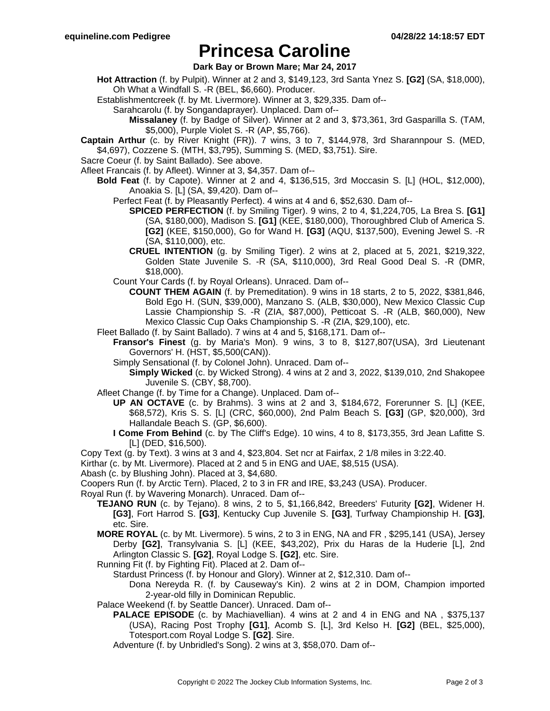### **Princesa Caroline**

**Dark Bay or Brown Mare; Mar 24, 2017**

- **Hot Attraction** (f. by Pulpit). Winner at 2 and 3, \$149,123, 3rd Santa Ynez S. **[G2]** (SA, \$18,000), Oh What a Windfall S. -R (BEL, \$6,660). Producer.
- Establishmentcreek (f. by Mt. Livermore). Winner at 3, \$29,335. Dam of--
	- Sarahcarolu (f. by Songandaprayer). Unplaced. Dam of--
		- **Missalaney** (f. by Badge of Silver). Winner at 2 and 3, \$73,361, 3rd Gasparilla S. (TAM, \$5,000), Purple Violet S. -R (AP, \$5,766).
- **Captain Arthur** (c. by River Knight (FR)). 7 wins, 3 to 7, \$144,978, 3rd Sharannpour S. (MED, \$4,697), Cozzene S. (MTH, \$3,795), Summing S. (MED, \$3,751). Sire.
- Sacre Coeur (f. by Saint Ballado). See above.
- Afleet Francais (f. by Afleet). Winner at 3, \$4,357. Dam of--
	- **Bold Feat** (f. by Capote). Winner at 2 and 4, \$136,515, 3rd Moccasin S. [L] (HOL, \$12,000), Anoakia S. [L] (SA, \$9,420). Dam of--
		- Perfect Feat (f. by Pleasantly Perfect). 4 wins at 4 and 6, \$52,630. Dam of--
			- **SPICED PERFECTION** (f. by Smiling Tiger). 9 wins, 2 to 4, \$1,224,705, La Brea S. **[G1]** (SA, \$180,000), Madison S. **[G1]** (KEE, \$180,000), Thoroughbred Club of America S. **[G2]** (KEE, \$150,000), Go for Wand H. **[G3]** (AQU, \$137,500), Evening Jewel S. -R (SA, \$110,000), etc.
			- **CRUEL INTENTION** (g. by Smiling Tiger). 2 wins at 2, placed at 5, 2021, \$219,322, Golden State Juvenile S. -R (SA, \$110,000), 3rd Real Good Deal S. -R (DMR, \$18,000).
		- Count Your Cards (f. by Royal Orleans). Unraced. Dam of--
			- **COUNT THEM AGAIN** (f. by Premeditation). 9 wins in 18 starts, 2 to 5, 2022, \$381,846, Bold Ego H. (SUN, \$39,000), Manzano S. (ALB, \$30,000), New Mexico Classic Cup Lassie Championship S. -R (ZIA, \$87,000), Petticoat S. -R (ALB, \$60,000), New Mexico Classic Cup Oaks Championship S. -R (ZIA, \$29,100), etc.
	- Fleet Ballado (f. by Saint Ballado). 7 wins at 4 and 5, \$168,171. Dam of--
		- **Fransor's Finest** (g. by Maria's Mon). 9 wins, 3 to 8, \$127,807(USA), 3rd Lieutenant Governors' H. (HST, \$5,500(CAN)).
		- Simply Sensational (f. by Colonel John). Unraced. Dam of--
			- **Simply Wicked** (c. by Wicked Strong). 4 wins at 2 and 3, 2022, \$139,010, 2nd Shakopee Juvenile S. (CBY, \$8,700).
	- Afleet Change (f. by Time for a Change). Unplaced. Dam of--
		- **UP AN OCTAVE** (c. by Brahms). 3 wins at 2 and 3, \$184,672, Forerunner S. [L] (KEE, \$68,572), Kris S. S. [L] (CRC, \$60,000), 2nd Palm Beach S. **[G3]** (GP, \$20,000), 3rd Hallandale Beach S. (GP, \$6,600).
		- **I Come From Behind** (c. by The Cliff's Edge). 10 wins, 4 to 8, \$173,355, 3rd Jean Lafitte S. [L] (DED, \$16,500).
- Copy Text (g. by Text). 3 wins at 3 and 4, \$23,804. Set ncr at Fairfax, 2 1/8 miles in 3:22.40.
- Kirthar (c. by Mt. Livermore). Placed at 2 and 5 in ENG and UAE, \$8,515 (USA).
- Abash (c. by Blushing John). Placed at 3, \$4,680.
- Coopers Run (f. by Arctic Tern). Placed, 2 to 3 in FR and IRE, \$3,243 (USA). Producer.
- Royal Run (f. by Wavering Monarch). Unraced. Dam of--
	- **TEJANO RUN** (c. by Tejano). 8 wins, 2 to 5, \$1,166,842, Breeders' Futurity **[G2]**, Widener H. **[G3]**, Fort Harrod S. **[G3]**, Kentucky Cup Juvenile S. **[G3]**, Turfway Championship H. **[G3]**, etc. Sire.
	- **MORE ROYAL** (c. by Mt. Livermore). 5 wins, 2 to 3 in ENG, NA and FR , \$295,141 (USA), Jersey Derby **[G2]**, Transylvania S. [L] (KEE, \$43,202), Prix du Haras de la Huderie [L], 2nd Arlington Classic S. **[G2]**, Royal Lodge S. **[G2]**, etc. Sire.
	- Running Fit (f. by Fighting Fit). Placed at 2. Dam of--
		- Stardust Princess (f. by Honour and Glory). Winner at 2, \$12,310. Dam of--
			- Dona Nereyda R. (f. by Causeway's Kin). 2 wins at 2 in DOM, Champion imported 2-year-old filly in Dominican Republic.
	- Palace Weekend (f. by Seattle Dancer). Unraced. Dam of--
		- **PALACE EPISODE** (c. by Machiavellian). 4 wins at 2 and 4 in ENG and NA, \$375,137 (USA), Racing Post Trophy **[G1]**, Acomb S. [L], 3rd Kelso H. **[G2]** (BEL, \$25,000), Totesport.com Royal Lodge S. **[G2]**. Sire.
		- Adventure (f. by Unbridled's Song). 2 wins at 3, \$58,070. Dam of--